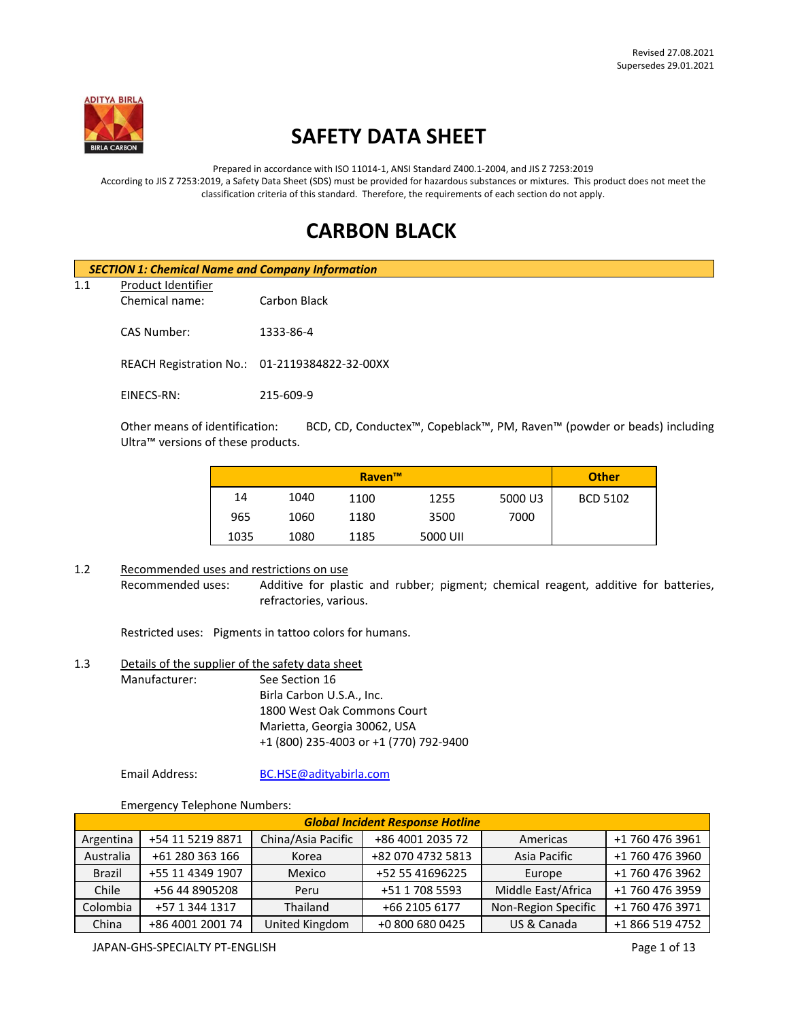

# **SAFETY DATA SHEET**

Prepared in accordance with ISO 11014-1, ANSI Standard Z400.1-2004, and JIS Z 7253:2019 According to JIS Z 7253:2019, a Safety Data Sheet (SDS) must be provided for hazardous substances or mixtures. This product does not meet the classification criteria of this standard. Therefore, the requirements of each section do not apply.

# **CARBON BLACK**

|     | <b>SECTION 1: Chemical Name and Company Information</b> |                                               |  |  |
|-----|---------------------------------------------------------|-----------------------------------------------|--|--|
| 1.1 | Product Identifier                                      |                                               |  |  |
|     | Chemical name:                                          | Carbon Black                                  |  |  |
|     | CAS Number:                                             | 1333-86-4                                     |  |  |
|     |                                                         | REACH Registration No.: 01-2119384822-32-00XX |  |  |
|     | EINECS-RN:                                              | 215-609-9                                     |  |  |

Other means of identification: BCD, CD, Conductex™, Copeblack™, PM, Raven™ (powder or beads) including Ultra™ versions of these products.

|      |      | Raven <sup>™</sup> |          |         | <b>Other</b>    |
|------|------|--------------------|----------|---------|-----------------|
| 14   | 1040 | 1100               | 1255     | 5000 U3 | <b>BCD 5102</b> |
| 965  | 1060 | 1180               | 3500     | 7000    |                 |
| 1035 | 1080 | 1185               | 5000 UII |         |                 |

## 1.2 Recommended uses and restrictions on use

Recommended uses: Additive for plastic and rubber; pigment; chemical reagent, additive for batteries, refractories, various.

Restricted uses: Pigments in tattoo colors for humans.

## 1.3 Details of the supplier of the safety data sheet

Manufacturer: See Section 16 Birla Carbon U.S.A., Inc. 1800 West Oak Commons Court Marietta, Georgia 30062, USA +1 (800) 235-4003 or +1 (770) 792-9400

Email Address: [BC.HSE@adityabirla.com](mailto:BC.HSE@adityabirla.com)

Emergency Telephone Numbers:

| <b>Global Incident Response Hotline</b> |                  |                    |                   |                     |                 |
|-----------------------------------------|------------------|--------------------|-------------------|---------------------|-----------------|
| Argentina                               | +54 11 5219 8871 | China/Asia Pacific | +86 4001 2035 72  | Americas            | +1 760 476 3961 |
| Australia                               | +61 280 363 166  | Korea              | +82 070 4732 5813 | Asia Pacific        | +1 760 476 3960 |
| <b>Brazil</b>                           | +55 11 4349 1907 | Mexico             | +52 55 41696225   | Europe              | +1 760 476 3962 |
| Chile                                   | +56 44 8905208   | Peru               | +51 1 708 5593    | Middle East/Africa  | +1 760 476 3959 |
| Colombia                                | +57 1 344 1317   | Thailand           | +66 2105 6177     | Non-Region Specific | +1 760 476 3971 |
| China                                   | +86 4001 2001 74 | United Kingdom     | +0 800 680 0425   | US & Canada         | +1 866 519 4752 |

JAPAN-GHS-SPECIALTY PT-ENGLISH **Page 1 of 13**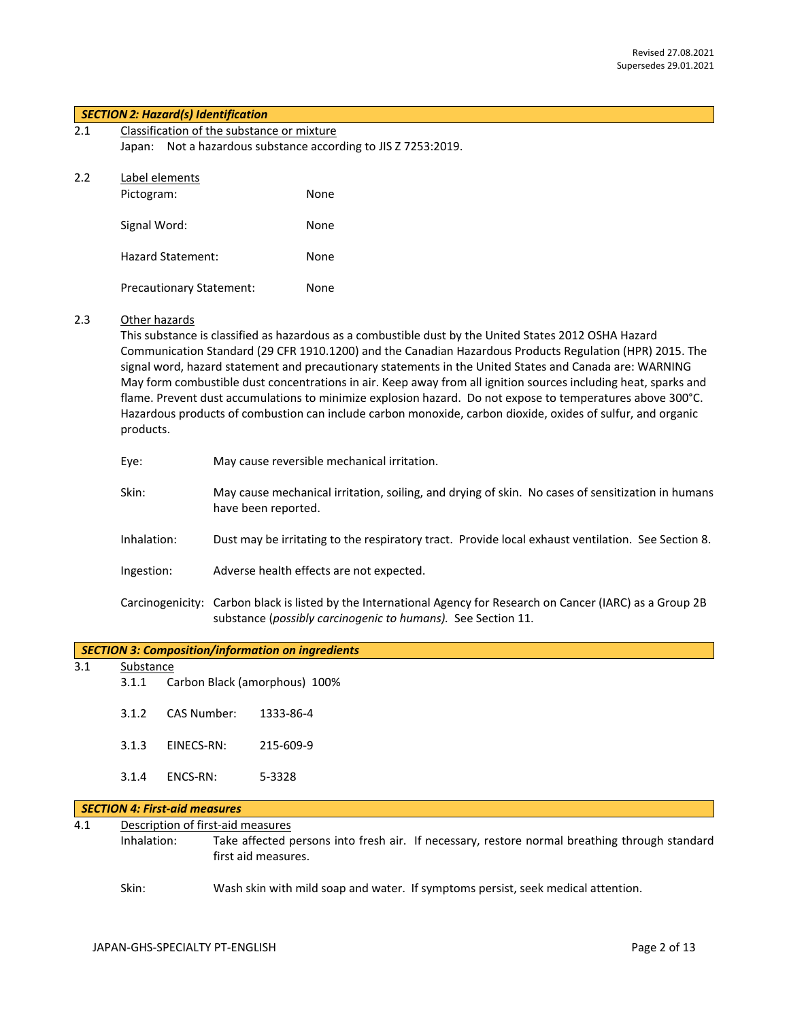#### *SECTION 2: Hazard(s) Identification*

| 2.1 | Classification of the substance or mixture                     |
|-----|----------------------------------------------------------------|
|     | Japan: Not a hazardous substance according to JIS Z 7253:2019. |

|--|

| Pictogram:                      | None |
|---------------------------------|------|
| Signal Word:                    | None |
| Hazard Statement:               | None |
| <b>Precautionary Statement:</b> | None |

#### 2.3 Other hazards

This substance is classified as hazardous as a combustible dust by the United States 2012 OSHA Hazard Communication Standard (29 CFR 1910.1200) and the Canadian Hazardous Products Regulation (HPR) 2015. The signal word, hazard statement and precautionary statements in the United States and Canada are: WARNING May form combustible dust concentrations in air. Keep away from all ignition sources including heat, sparks and flame. Prevent dust accumulations to minimize explosion hazard. Do not expose to temperatures above 300°C. Hazardous products of combustion can include carbon monoxide, carbon dioxide, oxides of sulfur, and organic products.

| Eye:        | May cause reversible mechanical irritation.                                                                                                                                     |
|-------------|---------------------------------------------------------------------------------------------------------------------------------------------------------------------------------|
| Skin:       | May cause mechanical irritation, soiling, and drying of skin. No cases of sensitization in humans<br>have been reported.                                                        |
| Inhalation: | Dust may be irritating to the respiratory tract. Provide local exhaust ventilation. See Section 8.                                                                              |
| Ingestion:  | Adverse health effects are not expected.                                                                                                                                        |
|             | Carcinogenicity: Carbon black is listed by the International Agency for Research on Cancer (IARC) as a Group 2B<br>substance (possibly carcinogenic to humans). See Section 11. |

## 3.1 Substance

- 3.1.1 Carbon Black (amorphous) 100%
- 3.1.2 CAS Number: 1333-86-4
- 3.1.3 EINECS-RN: 215-609-9
- 3.1.4 ENCS-RN: 5-3328

## *SECTION 4: First-aid measures*

## 4.1 Description of first-aid measures

Inhalation: Take affected persons into fresh air. If necessary, restore normal breathing through standard first aid measures.

## Skin: Wash skin with mild soap and water. If symptoms persist, seek medical attention.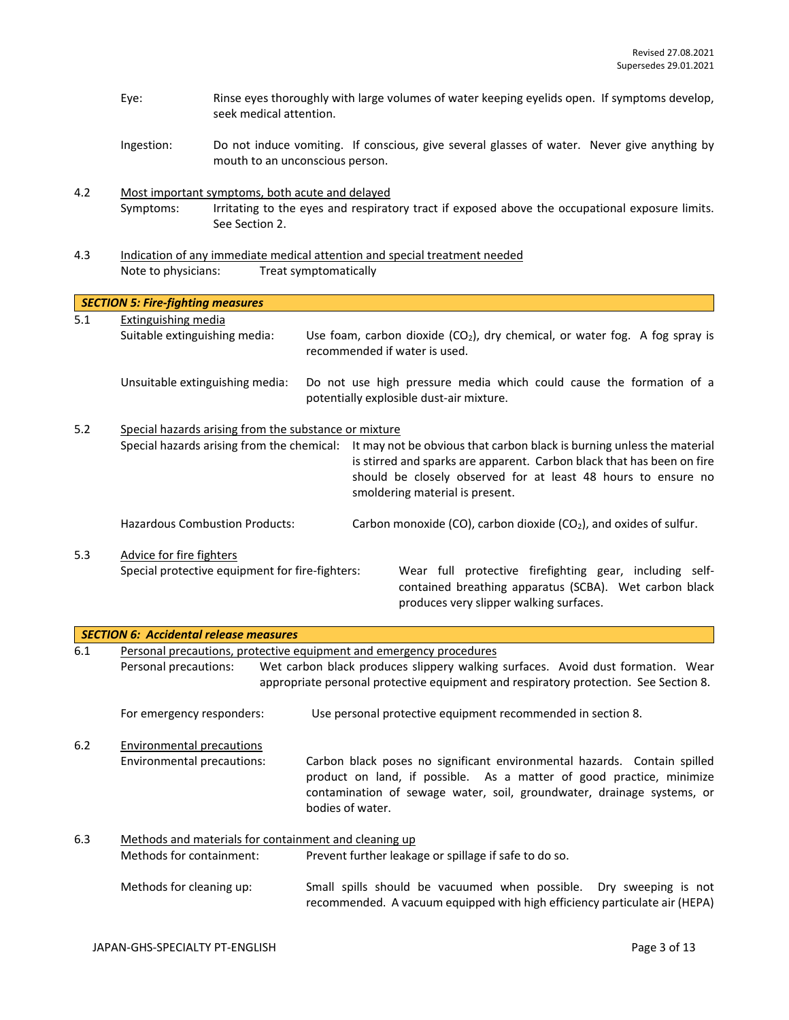- Eye: Rinse eyes thoroughly with large volumes of water keeping eyelids open. If symptoms develop, seek medical attention.
- Ingestion: Do not induce vomiting. If conscious, give several glasses of water. Never give anything by mouth to an unconscious person.
- 4.2 Most important symptoms, both acute and delayed Symptoms: Irritating to the eyes and respiratory tract if exposed above the occupational exposure limits. See Section 2.
- 4.3 Indication of any immediate medical attention and special treatment needed Note to physicians: Treat symptomatically

|     | <b>SECTION 5: Fire-fighting measures</b>                                          |                                                                                                                                                                                                                                                      |
|-----|-----------------------------------------------------------------------------------|------------------------------------------------------------------------------------------------------------------------------------------------------------------------------------------------------------------------------------------------------|
| 5.1 | Extinguishing media                                                               |                                                                                                                                                                                                                                                      |
|     | Suitable extinguishing media:                                                     | Use foam, carbon dioxide ( $CO2$ ), dry chemical, or water fog. A fog spray is<br>recommended if water is used.                                                                                                                                      |
|     | Unsuitable extinguishing media:                                                   | Do not use high pressure media which could cause the formation of a<br>potentially explosible dust-air mixture.                                                                                                                                      |
| 5.2 | Special hazards arising from the substance or mixture                             |                                                                                                                                                                                                                                                      |
|     | Special hazards arising from the chemical:                                        | It may not be obvious that carbon black is burning unless the material<br>is stirred and sparks are apparent. Carbon black that has been on fire<br>should be closely observed for at least 48 hours to ensure no<br>smoldering material is present. |
|     | <b>Hazardous Combustion Products:</b>                                             | Carbon monoxide (CO), carbon dioxide (CO <sub>2</sub> ), and oxides of sulfur.                                                                                                                                                                       |
| 5.3 | Advice for fire fighters<br>Special protective equipment for fire-fighters:       | Wear full protective firefighting gear, including self-<br>contained breathing apparatus (SCBA). Wet carbon black<br>produces very slipper walking surfaces.                                                                                         |
|     | <b>SECTION 6: Accidental release measures</b>                                     |                                                                                                                                                                                                                                                      |
| 6.1 | Personal precautions:                                                             | Personal precautions, protective equipment and emergency procedures<br>Wet carbon black produces slippery walking surfaces. Avoid dust formation. Wear<br>appropriate personal protective equipment and respiratory protection. See Section 8.       |
|     | For emergency responders:                                                         | Use personal protective equipment recommended in section 8.                                                                                                                                                                                          |
| 6.2 | <b>Environmental precautions</b><br>Environmental precautions:                    | Carbon black poses no significant environmental hazards. Contain spilled<br>product on land, if possible. As a matter of good practice, minimize<br>contamination of sewage water, soil, groundwater, drainage systems, or<br>bodies of water.       |
| 6.3 | Methods and materials for containment and cleaning up<br>Methods for containment: | Prevent further leakage or spillage if safe to do so.                                                                                                                                                                                                |
|     | Methods for cleaning up:                                                          | Small spills should be vacuumed when possible.<br>Dry sweeping is not<br>recommended. A vacuum equipped with high efficiency particulate air (HEPA)                                                                                                  |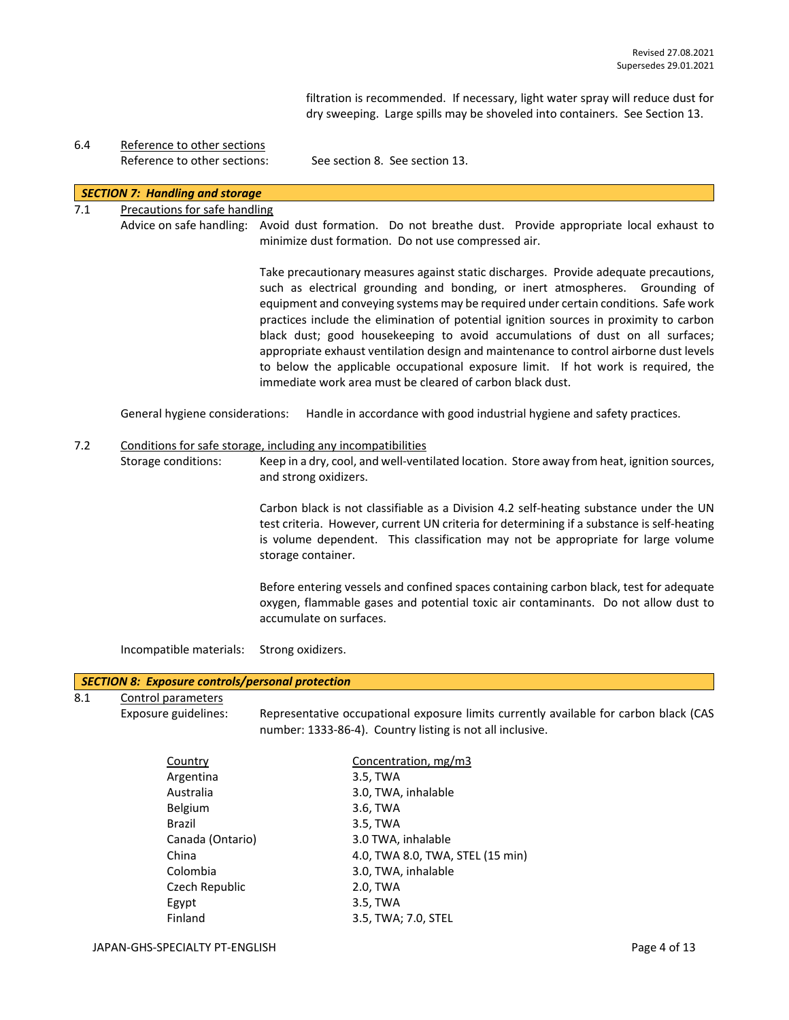filtration is recommended. If necessary, light water spray will reduce dust for dry sweeping. Large spills may be shoveled into containers. See Section 13.

# 6.4 Reference to other sections

Reference to other sections: See section 8. See section 13.

## *SECTION 7: Handling and storage*

## 7.1 Precautions for safe handling

Advice on safe handling: Avoid dust formation. Do not breathe dust. Provide appropriate local exhaust to minimize dust formation. Do not use compressed air.

> Take precautionary measures against static discharges. Provide adequate precautions, such as electrical grounding and bonding, or inert atmospheres. Grounding of equipment and conveying systems may be required under certain conditions. Safe work practices include the elimination of potential ignition sources in proximity to carbon black dust; good housekeeping to avoid accumulations of dust on all surfaces; appropriate exhaust ventilation design and maintenance to control airborne dust levels to below the applicable occupational exposure limit. If hot work is required, the immediate work area must be cleared of carbon black dust.

General hygiene considerations: Handle in accordance with good industrial hygiene and safety practices.

#### 7.2 Conditions for safe storage, including any incompatibilities

Storage conditions: Keep in a dry, cool, and well-ventilated location. Store away from heat, ignition sources, and strong oxidizers.

> Carbon black is not classifiable as a Division 4.2 self-heating substance under the UN test criteria. However, current UN criteria for determining if a substance is self-heating is volume dependent. This classification may not be appropriate for large volume storage container.

> Before entering vessels and confined spaces containing carbon black, test for adequate oxygen, flammable gases and potential toxic air contaminants. Do not allow dust to accumulate on surfaces.

Incompatible materials: Strong oxidizers.

#### *SECTION 8: Exposure controls/personal protection*

## 8.1 Control parameters

Exposure guidelines: Representative occupational exposure limits currently available for carbon black (CAS number: 1333-86-4). Country listing is not all inclusive.

| Country          | Concentration, mg/m3             |
|------------------|----------------------------------|
| Argentina        | 3.5, TWA                         |
| Australia        | 3.0, TWA, inhalable              |
| Belgium          | 3.6, TWA                         |
| Brazil           | 3.5, TWA                         |
| Canada (Ontario) | 3.0 TWA, inhalable               |
| China            | 4.0, TWA 8.0, TWA, STEL (15 min) |
| Colombia         | 3.0, TWA, inhalable              |
| Czech Republic   | 2.0, TWA                         |
| Egypt            | 3.5, TWA                         |
| Finland          | 3.5, TWA; 7.0, STEL              |
|                  |                                  |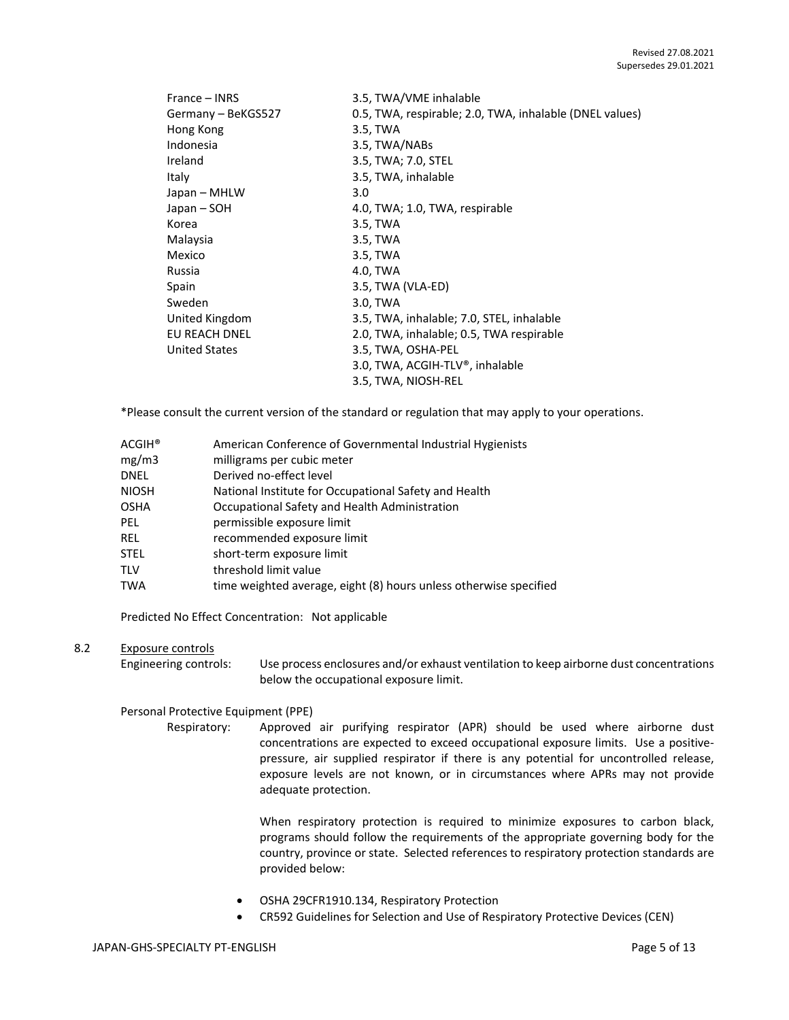| France – INRS        | 3.5, TWA/VME inhalable                                  |
|----------------------|---------------------------------------------------------|
| Germany - BeKGS527   | 0.5, TWA, respirable; 2.0, TWA, inhalable (DNEL values) |
| Hong Kong            | 3.5, TWA                                                |
| Indonesia            | 3.5, TWA/NABs                                           |
| Ireland              | 3.5, TWA; 7.0, STEL                                     |
| Italy                | 3.5, TWA, inhalable                                     |
| Japan – MHLW         | 3.0                                                     |
| Japan – SOH          | 4.0, TWA; 1.0, TWA, respirable                          |
| Korea                | 3.5, TWA                                                |
| Malaysia             | 3.5, TWA                                                |
| Mexico               | 3.5, TWA                                                |
| Russia               | 4.0, TWA                                                |
| Spain                | 3.5, TWA (VLA-ED)                                       |
| Sweden               | 3.0, TWA                                                |
| United Kingdom       | 3.5, TWA, inhalable; 7.0, STEL, inhalable               |
| <b>EU REACH DNEL</b> | 2.0, TWA, inhalable; 0.5, TWA respirable                |
| <b>United States</b> | 3.5, TWA, OSHA-PEL                                      |
|                      | 3.0, TWA, ACGIH-TLV®, inhalable                         |
|                      | 3.5, TWA, NIOSH-REL                                     |

\*Please consult the current version of the standard or regulation that may apply to your operations.

| ACGIH®       | American Conference of Governmental Industrial Hygienists         |
|--------------|-------------------------------------------------------------------|
| mg/m3        | milligrams per cubic meter                                        |
| DNEL         | Derived no-effect level                                           |
| <b>NIOSH</b> | National Institute for Occupational Safety and Health             |
| OSHA         | Occupational Safety and Health Administration                     |
| PEL.         | permissible exposure limit                                        |
| <b>REL</b>   | recommended exposure limit                                        |
| STEL         | short-term exposure limit                                         |
| TLV          | threshold limit value                                             |
| TWA          | time weighted average, eight (8) hours unless otherwise specified |
|              |                                                                   |

Predicted No Effect Concentration: Not applicable

#### 8.2 Exposure controls

Engineering controls: Use process enclosures and/or exhaust ventilation to keep airborne dust concentrations below the occupational exposure limit.

Personal Protective Equipment (PPE)

Respiratory: Approved air purifying respirator (APR) should be used where airborne dust concentrations are expected to exceed occupational exposure limits. Use a positivepressure, air supplied respirator if there is any potential for uncontrolled release, exposure levels are not known, or in circumstances where APRs may not provide adequate protection.

> When respiratory protection is required to minimize exposures to carbon black, programs should follow the requirements of the appropriate governing body for the country, province or state. Selected references to respiratory protection standards are provided below:

- OSHA 29CFR1910.134, Respiratory Protection
- CR592 Guidelines for Selection and Use of Respiratory Protective Devices (CEN)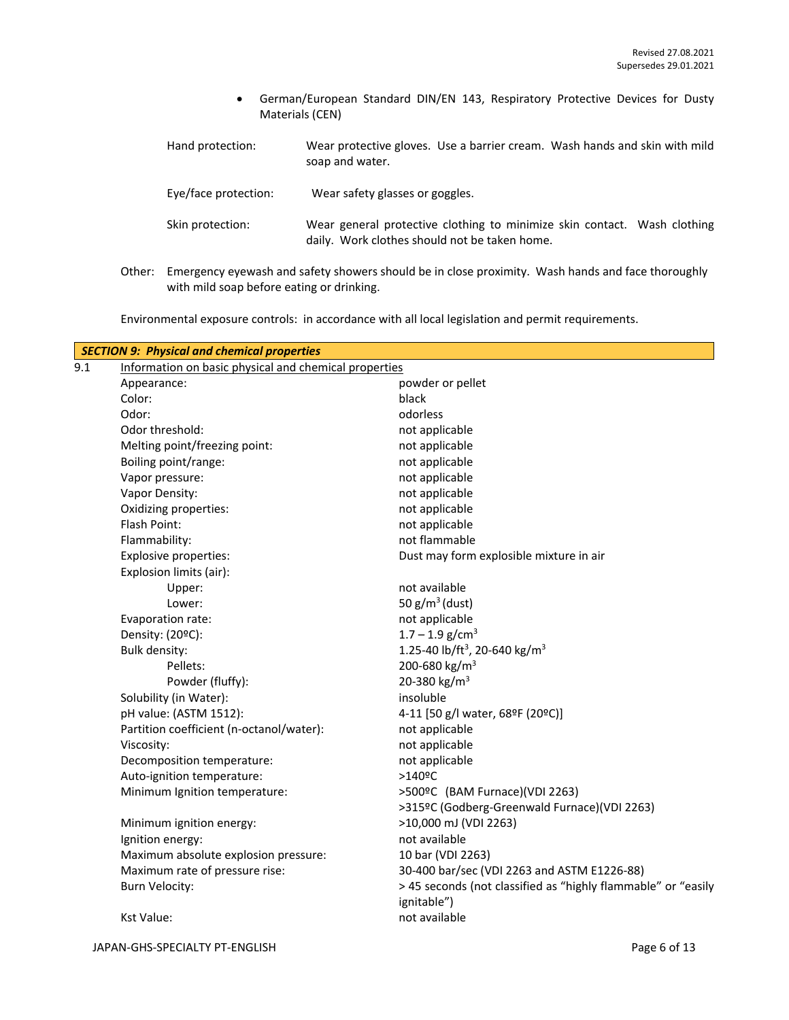- German/European Standard DIN/EN 143, Respiratory Protective Devices for Dusty Materials (CEN)
- Hand protection: Wear protective gloves. Use a barrier cream. Wash hands and skin with mild soap and water.

Eye/face protection: Wear safety glasses or goggles.

- Skin protection: Wear general protective clothing to minimize skin contact. Wash clothing daily. Work clothes should not be taken home.
- Other: Emergency eyewash and safety showers should be in close proximity. Wash hands and face thoroughly with mild soap before eating or drinking.

Environmental exposure controls: in accordance with all local legislation and permit requirements.

| 9.1 | Information on basic physical and chemical properties | <b>SECTION 9: Physical and chemical properties</b>                           |  |  |  |
|-----|-------------------------------------------------------|------------------------------------------------------------------------------|--|--|--|
|     | Appearance:                                           | powder or pellet                                                             |  |  |  |
|     | Color:                                                | black                                                                        |  |  |  |
|     | Odor:                                                 | odorless                                                                     |  |  |  |
|     | Odor threshold:                                       | not applicable                                                               |  |  |  |
|     | Melting point/freezing point:                         | not applicable                                                               |  |  |  |
|     | Boiling point/range:                                  | not applicable                                                               |  |  |  |
|     | Vapor pressure:                                       | not applicable                                                               |  |  |  |
|     | Vapor Density:                                        | not applicable                                                               |  |  |  |
|     | Oxidizing properties:                                 | not applicable                                                               |  |  |  |
|     | Flash Point:                                          | not applicable                                                               |  |  |  |
|     | Flammability:                                         | not flammable                                                                |  |  |  |
|     | Explosive properties:                                 | Dust may form explosible mixture in air                                      |  |  |  |
|     | Explosion limits (air):                               |                                                                              |  |  |  |
|     | Upper:                                                | not available                                                                |  |  |  |
|     | Lower:                                                | 50 $g/m^3$ (dust)                                                            |  |  |  |
|     | Evaporation rate:                                     | not applicable                                                               |  |  |  |
|     | Density: (20°C):                                      | $1.7 - 1.9$ g/cm <sup>3</sup>                                                |  |  |  |
|     | Bulk density:                                         | 1.25-40 lb/ft <sup>3</sup> , 20-640 kg/m <sup>3</sup>                        |  |  |  |
|     | Pellets:                                              | 200-680 kg/m <sup>3</sup>                                                    |  |  |  |
|     | Powder (fluffy):                                      | 20-380 kg/m <sup>3</sup>                                                     |  |  |  |
|     | Solubility (in Water):                                | insoluble                                                                    |  |  |  |
|     | pH value: (ASTM 1512):                                | 4-11 [50 g/l water, 68ºF (20ºC)]                                             |  |  |  |
|     | Partition coefficient (n-octanol/water):              | not applicable                                                               |  |  |  |
|     | Viscosity:                                            | not applicable                                                               |  |  |  |
|     | Decomposition temperature:                            | not applicable                                                               |  |  |  |
|     | Auto-ignition temperature:                            | $>140$ <sup>o</sup> C                                                        |  |  |  |
|     | Minimum Ignition temperature:                         | >500ºC (BAM Furnace)(VDI 2263)                                               |  |  |  |
|     |                                                       | >315ºC (Godberg-Greenwald Furnace)(VDI 2263)                                 |  |  |  |
|     | Minimum ignition energy:                              | >10,000 mJ (VDI 2263)                                                        |  |  |  |
|     | Ignition energy:                                      | not available                                                                |  |  |  |
|     | Maximum absolute explosion pressure:                  | 10 bar (VDI 2263)                                                            |  |  |  |
|     | Maximum rate of pressure rise:                        | 30-400 bar/sec (VDI 2263 and ASTM E1226-88)                                  |  |  |  |
|     | <b>Burn Velocity:</b>                                 | > 45 seconds (not classified as "highly flammable" or "easily<br>ignitable") |  |  |  |
|     | Kst Value:                                            | not available                                                                |  |  |  |
|     |                                                       |                                                                              |  |  |  |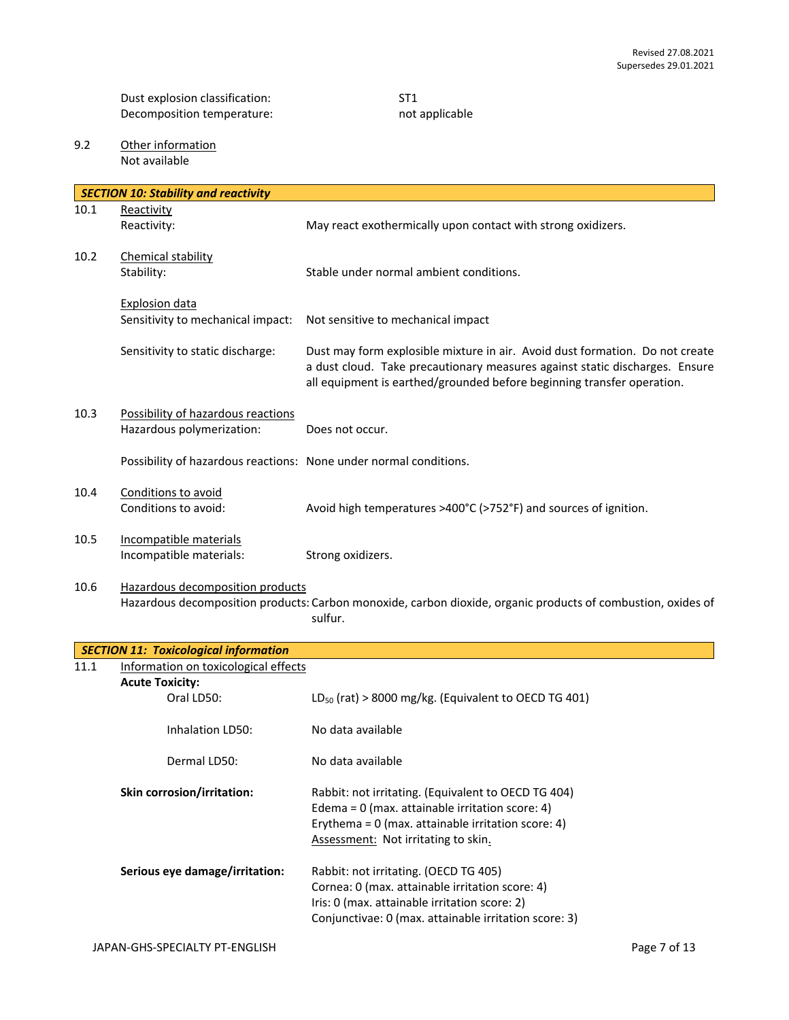Dust explosion classification: ST1<br>Decomposition temperature: ST1<br>Necomposition temperature: ST2 Decomposition temperature:

9.2 Other information Not available

|      | <b>SECTION 10: Stability and reactivity</b>                                                                                                                 |                                                                                                                                                                                                                                       |  |
|------|-------------------------------------------------------------------------------------------------------------------------------------------------------------|---------------------------------------------------------------------------------------------------------------------------------------------------------------------------------------------------------------------------------------|--|
| 10.1 | Reactivity                                                                                                                                                  |                                                                                                                                                                                                                                       |  |
|      | Reactivity:                                                                                                                                                 | May react exothermically upon contact with strong oxidizers.                                                                                                                                                                          |  |
| 10.2 | Chemical stability<br>Stability:                                                                                                                            | Stable under normal ambient conditions.                                                                                                                                                                                               |  |
|      | <b>Explosion data</b><br>Sensitivity to mechanical impact:                                                                                                  | Not sensitive to mechanical impact                                                                                                                                                                                                    |  |
|      | Sensitivity to static discharge:                                                                                                                            | Dust may form explosible mixture in air. Avoid dust formation. Do not create<br>a dust cloud. Take precautionary measures against static discharges. Ensure<br>all equipment is earthed/grounded before beginning transfer operation. |  |
| 10.3 | Possibility of hazardous reactions<br>Hazardous polymerization:                                                                                             | Does not occur.                                                                                                                                                                                                                       |  |
|      | Possibility of hazardous reactions: None under normal conditions.                                                                                           |                                                                                                                                                                                                                                       |  |
| 10.4 | Conditions to avoid<br>Conditions to avoid:                                                                                                                 | Avoid high temperatures >400°C (>752°F) and sources of ignition.                                                                                                                                                                      |  |
| 10.5 | Incompatible materials<br>Incompatible materials:                                                                                                           | Strong oxidizers.                                                                                                                                                                                                                     |  |
| 10.6 | Hazardous decomposition products<br>Hazardous decomposition products: Carbon monoxide, carbon dioxide, organic products of combustion, oxides of<br>sulfur. |                                                                                                                                                                                                                                       |  |
|      | <b>SECTION 11: Toxicological information</b>                                                                                                                |                                                                                                                                                                                                                                       |  |
| 11.1 | Information on toxicological effects                                                                                                                        |                                                                                                                                                                                                                                       |  |
|      | <b>Acute Toxicity:</b>                                                                                                                                      |                                                                                                                                                                                                                                       |  |
|      | Oral LD50:                                                                                                                                                  | $LD_{50}$ (rat) > 8000 mg/kg. (Equivalent to OECD TG 401)                                                                                                                                                                             |  |
|      | Inhalation LD50:                                                                                                                                            | No data available                                                                                                                                                                                                                     |  |
|      | Dermal LD50:                                                                                                                                                | No data available                                                                                                                                                                                                                     |  |
|      | Skin corrosion/irritation:                                                                                                                                  | Rabbit: not irritating. (Equivalent to OECD TG 404)<br>Edema = $0$ (max. attainable irritation score: 4)<br>Erythema = $0$ (max. attainable irritation score: 4)<br>Assessment: Not irritating to skin.                               |  |
|      | Serious eye damage/irritation:                                                                                                                              | Rabbit: not irritating. (OECD TG 405)<br>Cornea: 0 (max. attainable irritation score: 4)<br>Iris: 0 (max. attainable irritation score: 2)<br>Conjunctivae: 0 (max. attainable irritation score: 3)                                    |  |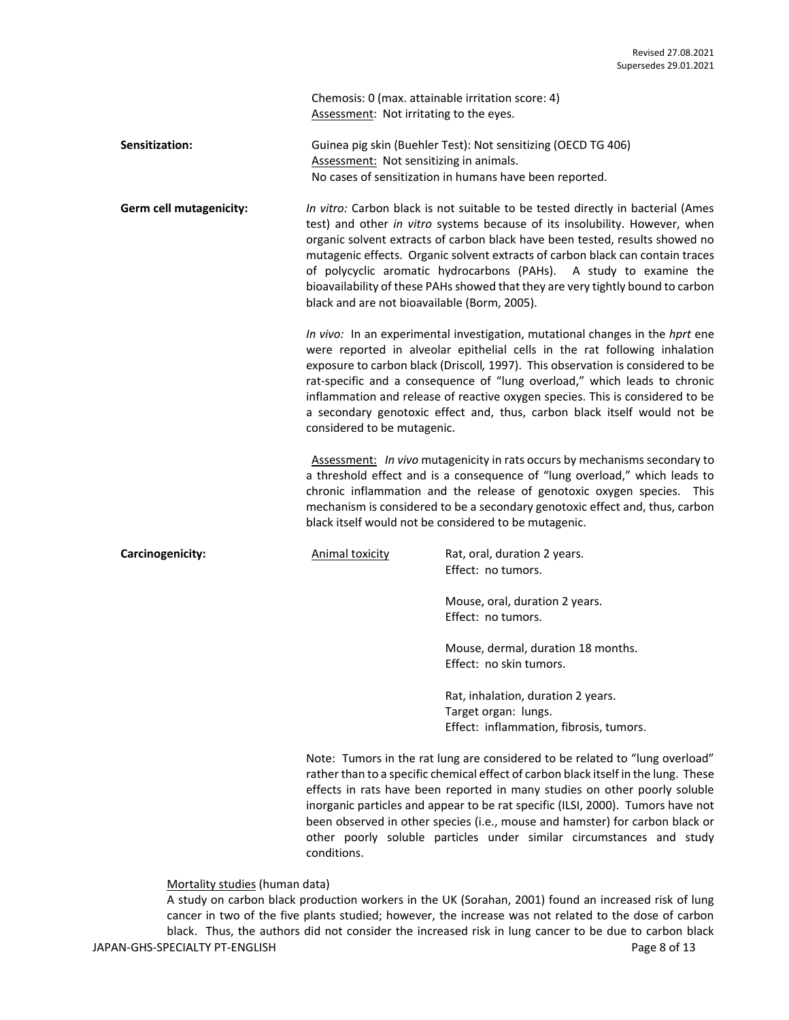Chemosis: 0 (max. attainable irritation score: 4) Assessment: Not irritating to the eyes.

**Sensitization:** Guinea pig skin (Buehler Test): Not sensitizing (OECD TG 406) Assessment: Not sensitizing in animals. No cases of sensitization in humans have been reported.

**Germ cell mutagenicity:** *In vitro:* Carbon black is not suitable to be tested directly in bacterial (Ames test) and other *in vitro* systems because of its insolubility. However, when organic solvent extracts of carbon black have been tested, results showed no mutagenic effects. Organic solvent extracts of carbon black can contain traces of polycyclic aromatic hydrocarbons (PAHs). A study to examine the bioavailability of these PAHs showed that they are very tightly bound to carbon black and are not bioavailable (Borm, 2005).

> *In vivo:* In an experimental investigation, mutational changes in the *hprt* ene were reported in alveolar epithelial cells in the rat following inhalation exposure to carbon black (Driscoll*,* 1997). This observation is considered to be rat-specific and a consequence of "lung overload," which leads to chronic inflammation and release of reactive oxygen species. This is considered to be a secondary genotoxic effect and, thus, carbon black itself would not be considered to be mutagenic.

> Assessment: *In vivo* mutagenicity in rats occurs by mechanisms secondary to a threshold effect and is a consequence of "lung overload," which leads to chronic inflammation and the release of genotoxic oxygen species. This mechanism is considered to be a secondary genotoxic effect and, thus, carbon black itself would not be considered to be mutagenic.

**Carcinogenicity: Carcinogenicity:** Animal toxicity **Rat, oral, duration 2 years.** Effect: no tumors.

> Mouse, oral, duration 2 years. Effect: no tumors.

Mouse, dermal, duration 18 months. Effect: no skin tumors.

Rat, inhalation, duration 2 years. Target organ: lungs. Effect: inflammation, fibrosis, tumors.

Note: Tumors in the rat lung are considered to be related to "lung overload" rather than to a specific chemical effect of carbon black itself in the lung. These effects in rats have been reported in many studies on other poorly soluble inorganic particles and appear to be rat specific (ILSI, 2000). Tumors have not been observed in other species (i.e., mouse and hamster) for carbon black or other poorly soluble particles under similar circumstances and study conditions.

Mortality studies (human data)

JAPAN-GHS-SPECIALTY PT-ENGLISH **Page 8 of 13** A study on carbon black production workers in the UK (Sorahan, 2001) found an increased risk of lung cancer in two of the five plants studied; however, the increase was not related to the dose of carbon black. Thus, the authors did not consider the increased risk in lung cancer to be due to carbon black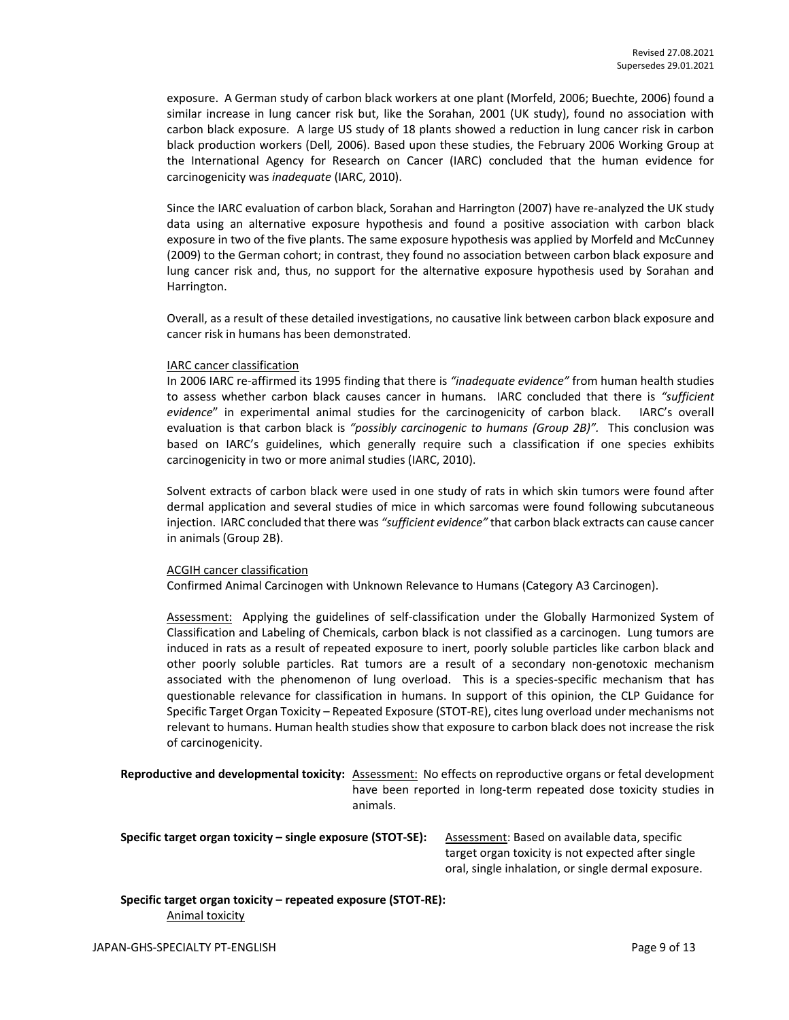exposure. A German study of carbon black workers at one plant (Morfeld, 2006; Buechte, 2006) found a similar increase in lung cancer risk but, like the Sorahan, 2001 (UK study), found no association with carbon black exposure. A large US study of 18 plants showed a reduction in lung cancer risk in carbon black production workers (Dell*,* 2006). Based upon these studies, the February 2006 Working Group at the International Agency for Research on Cancer (IARC) concluded that the human evidence for carcinogenicity was *inadequate* (IARC, 2010).

Since the IARC evaluation of carbon black, Sorahan and Harrington (2007) have re-analyzed the UK study data using an alternative exposure hypothesis and found a positive association with carbon black exposure in two of the five plants. The same exposure hypothesis was applied by Morfeld and McCunney (2009) to the German cohort; in contrast, they found no association between carbon black exposure and lung cancer risk and, thus, no support for the alternative exposure hypothesis used by Sorahan and Harrington.

Overall, as a result of these detailed investigations, no causative link between carbon black exposure and cancer risk in humans has been demonstrated.

#### IARC cancer classification

In 2006 IARC re-affirmed its 1995 finding that there is *"inadequate evidence"* from human health studies to assess whether carbon black causes cancer in humans. IARC concluded that there is *"sufficient evidence*" in experimental animal studies for the carcinogenicity of carbon black. IARC's overall evaluation is that carbon black is *"possibly carcinogenic to humans (Group 2B)".* This conclusion was based on IARC's guidelines, which generally require such a classification if one species exhibits carcinogenicity in two or more animal studies (IARC, 2010).

Solvent extracts of carbon black were used in one study of rats in which skin tumors were found after dermal application and several studies of mice in which sarcomas were found following subcutaneous injection. IARC concluded that there was *"sufficient evidence"* that carbon black extracts can cause cancer in animals (Group 2B).

## ACGIH cancer classification

Confirmed Animal Carcinogen with Unknown Relevance to Humans (Category A3 Carcinogen).

Assessment: Applying the guidelines of self-classification under the Globally Harmonized System of Classification and Labeling of Chemicals, carbon black is not classified as a carcinogen. Lung tumors are induced in rats as a result of repeated exposure to inert, poorly soluble particles like carbon black and other poorly soluble particles. Rat tumors are a result of a secondary non-genotoxic mechanism associated with the phenomenon of lung overload. This is a species-specific mechanism that has questionable relevance for classification in humans. In support of this opinion, the CLP Guidance for Specific Target Organ Toxicity – Repeated Exposure (STOT-RE), cites lung overload under mechanisms not relevant to humans. Human health studies show that exposure to carbon black does not increase the risk of carcinogenicity.

**Reproductive and developmental toxicity:** Assessment: No effects on reproductive organs or fetal development have been reported in long-term repeated dose toxicity studies in animals.

**Specific target organ toxicity – single exposure (STOT-SE):** Assessment: Based on available data, specific

target organ toxicity is not expected after single oral, single inhalation, or single dermal exposure.

## **Specific target organ toxicity – repeated exposure (STOT-RE):**  Animal toxicity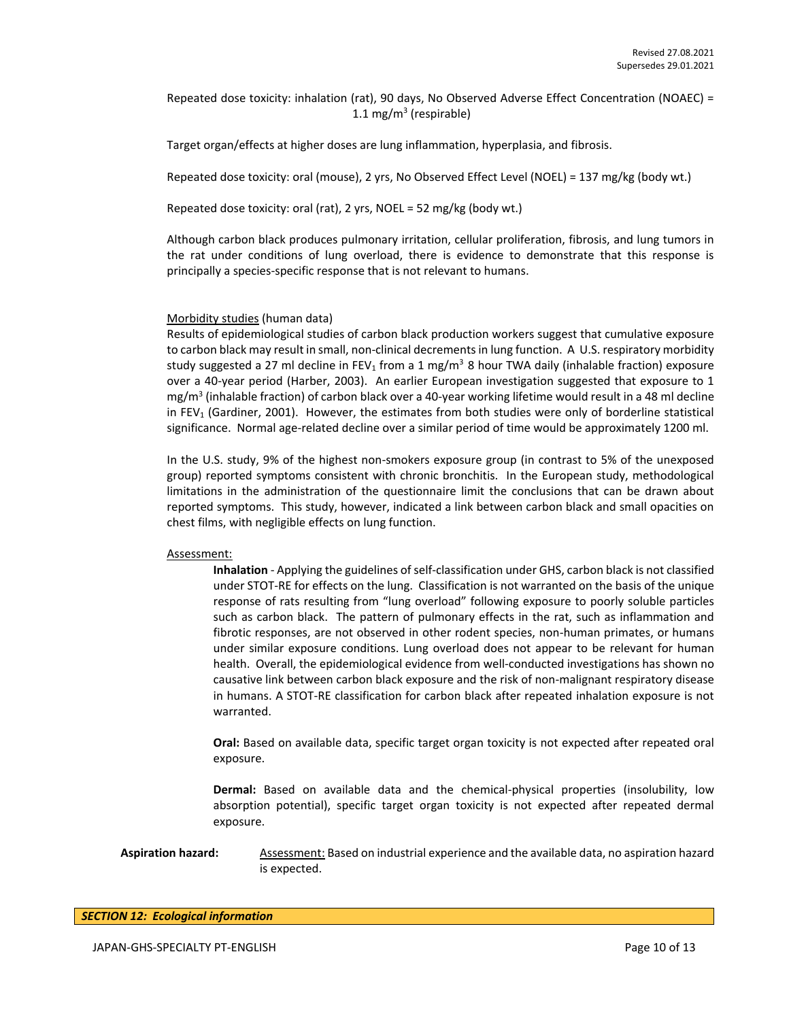Repeated dose toxicity: inhalation (rat), 90 days, No Observed Adverse Effect Concentration (NOAEC) = 1.1 mg/m<sup>3</sup> (respirable)

Target organ/effects at higher doses are lung inflammation, hyperplasia, and fibrosis.

Repeated dose toxicity: oral (mouse), 2 yrs, No Observed Effect Level (NOEL) = 137 mg/kg (body wt.)

Repeated dose toxicity: oral (rat), 2 yrs, NOEL = 52 mg/kg (body wt.)

Although carbon black produces pulmonary irritation, cellular proliferation, fibrosis, and lung tumors in the rat under conditions of lung overload, there is evidence to demonstrate that this response is principally a species-specific response that is not relevant to humans.

### Morbidity studies (human data)

Results of epidemiological studies of carbon black production workers suggest that cumulative exposure to carbon black may result in small, non-clinical decrements in lung function. A U.S. respiratory morbidity study suggested a 27 ml decline in FEV<sub>1</sub> from a 1 mg/m<sup>3</sup> 8 hour TWA daily (inhalable fraction) exposure over a 40-year period (Harber, 2003). An earlier European investigation suggested that exposure to 1 mg/m<sup>3</sup> (inhalable fraction) of carbon black over a 40-year working lifetime would result in a 48 ml decline in  $FEV<sub>1</sub>$  (Gardiner, 2001). However, the estimates from both studies were only of borderline statistical significance. Normal age-related decline over a similar period of time would be approximately 1200 ml.

In the U.S. study, 9% of the highest non-smokers exposure group (in contrast to 5% of the unexposed group) reported symptoms consistent with chronic bronchitis. In the European study, methodological limitations in the administration of the questionnaire limit the conclusions that can be drawn about reported symptoms. This study, however, indicated a link between carbon black and small opacities on chest films, with negligible effects on lung function.

#### Assessment:

**Inhalation** - Applying the guidelines of self-classification under GHS, carbon black is not classified under STOT-RE for effects on the lung. Classification is not warranted on the basis of the unique response of rats resulting from "lung overload" following exposure to poorly soluble particles such as carbon black. The pattern of pulmonary effects in the rat, such as inflammation and fibrotic responses, are not observed in other rodent species, non-human primates, or humans under similar exposure conditions. Lung overload does not appear to be relevant for human health. Overall, the epidemiological evidence from well-conducted investigations has shown no causative link between carbon black exposure and the risk of non-malignant respiratory disease in humans. A STOT-RE classification for carbon black after repeated inhalation exposure is not warranted.

**Oral:** Based on available data, specific target organ toxicity is not expected after repeated oral exposure.

**Dermal:** Based on available data and the chemical-physical properties (insolubility, low absorption potential), specific target organ toxicity is not expected after repeated dermal exposure.

**Aspiration hazard:** Assessment: Based on industrial experience and the available data, no aspiration hazard is expected.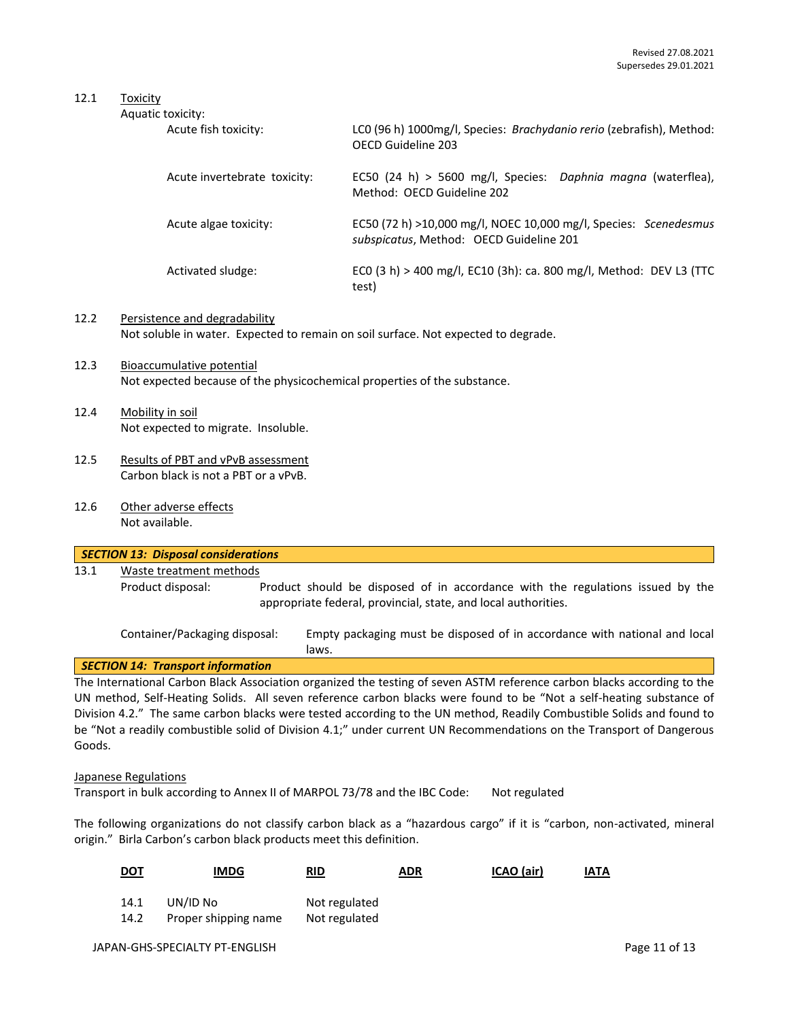## 12.1 Toxicity

| Aquatic toxicity:            |                                                                                                             |
|------------------------------|-------------------------------------------------------------------------------------------------------------|
| Acute fish toxicity:         | LCO (96 h) 1000mg/l, Species: Brachydanio rerio (zebrafish), Method:<br>OFCD Guideline 203                  |
| Acute invertebrate toxicity: | EC50 (24 h) > 5600 mg/l, Species: Daphnia magna (waterflea),<br>Method: OFCD Guideline 202                  |
| Acute algae toxicity:        | EC50 (72 h) >10,000 mg/l, NOEC 10,000 mg/l, Species: Scenedesmus<br>subspicatus, Method: OECD Guideline 201 |
| Activated sludge:            | ECO (3 h) > 400 mg/l, EC10 (3h): ca. 800 mg/l, Method: DEV L3 (TTC<br>test)                                 |
|                              |                                                                                                             |

- 12.2 Persistence and degradability Not soluble in water. Expected to remain on soil surface. Not expected to degrade.
- 12.3 Bioaccumulative potential Not expected because of the physicochemical properties of the substance.
- 12.4 Mobility in soil Not expected to migrate. Insoluble.
- 12.5 Results of PBT and vPvB assessment Carbon black is not a PBT or a vPvB.
- 12.6 Other adverse effects Not available.

| SECTION 13: Disposal considerations |                         |                                                                                                                                                  |  |  |
|-------------------------------------|-------------------------|--------------------------------------------------------------------------------------------------------------------------------------------------|--|--|
| 13.1                                | Waste treatment methods |                                                                                                                                                  |  |  |
|                                     | Product disposal:       | Product should be disposed of in accordance with the regulations issued by the<br>appropriate federal, provincial, state, and local authorities. |  |  |

Container/Packaging disposal: Empty packaging must be disposed of in accordance with national and local laws.

## *SECTION 14: Transport information*

The International Carbon Black Association organized the testing of seven ASTM reference carbon blacks according to the UN method, Self-Heating Solids. All seven reference carbon blacks were found to be "Not a self-heating substance of Division 4.2." The same carbon blacks were tested according to the UN method, Readily Combustible Solids and found to be "Not a readily combustible solid of Division 4.1;" under current UN Recommendations on the Transport of Dangerous Goods.

#### Japanese Regulations

Transport in bulk according to Annex II of MARPOL 73/78 and the IBC Code: Not regulated

The following organizations do not classify carbon black as a "hazardous cargo" if it is "carbon, non-activated, mineral origin." Birla Carbon's carbon black products meet this definition.

| <u>DOT</u>   | <b>IMDG</b>                      | RID                            | <b>ADR</b> | ICAO (air) | <b>IATA</b> |
|--------------|----------------------------------|--------------------------------|------------|------------|-------------|
| 14.1<br>14.2 | UN/ID No<br>Proper shipping name | Not regulated<br>Not regulated |            |            |             |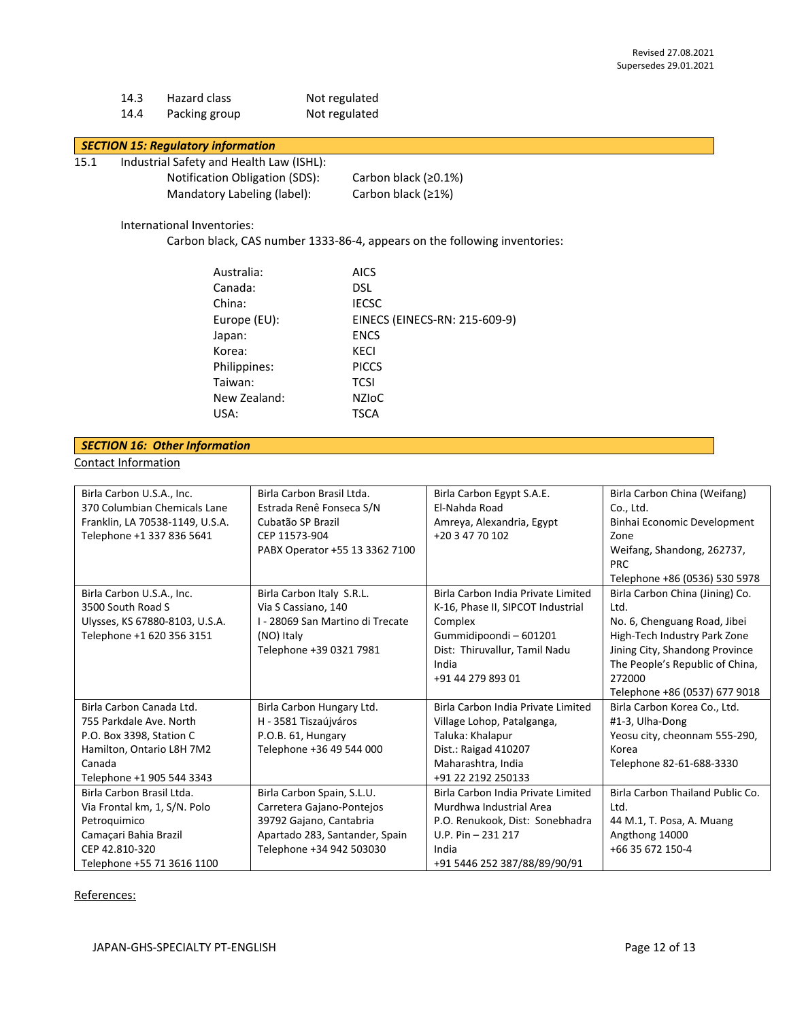| 14.3 | Hazard class  | Not regulated |
|------|---------------|---------------|
| 14.4 | Packing group | Not regulated |

### *SECTION 15: Regulatory information*

- 15.1 Industrial Safety and Health Law (ISHL):
	- Notification Obligation (SDS): Carbon black (≥0.1%) Mandatory Labeling (label): Carbon black (≥1%)

International Inventories:

Carbon black, CAS number 1333-86-4, appears on the following inventories:

| Australia:   | <b>AICS</b>                   |
|--------------|-------------------------------|
| Canada:      | <b>DSL</b>                    |
| China:       | <b>IECSC</b>                  |
| Europe (EU): | EINECS (EINECS-RN: 215-609-9) |
| Japan:       | <b>ENCS</b>                   |
| Korea:       | KECI                          |
| Philippines: | <b>PICCS</b>                  |
| Taiwan:      | <b>TCSI</b>                   |
| New Zealand: | <b>NZIOC</b>                  |
| USA:         | <b>TSCA</b>                   |

| <b>SECTION 16: Other Information</b> |  |
|--------------------------------------|--|
| <b>Contact Information</b>           |  |

| Birla Carbon U.S.A., Inc.       | Birla Carbon Brasil Ltda.        | Birla Carbon Egypt S.A.E.          | Birla Carbon China (Weifang)     |
|---------------------------------|----------------------------------|------------------------------------|----------------------------------|
| 370 Columbian Chemicals Lane    | Estrada Renê Fonseca S/N         | El-Nahda Road                      | Co., Ltd.                        |
| Franklin, LA 70538-1149, U.S.A. | Cubatão SP Brazil                | Amreya, Alexandria, Egypt          | Binhai Economic Development      |
| Telephone +1 337 836 5641       | CEP 11573-904                    | +20 3 47 70 102                    | Zone                             |
|                                 | PABX Operator +55 13 3362 7100   |                                    | Weifang, Shandong, 262737,       |
|                                 |                                  |                                    | <b>PRC</b>                       |
|                                 |                                  |                                    | Telephone +86 (0536) 530 5978    |
| Birla Carbon U.S.A., Inc.       | Birla Carbon Italy S.R.L.        | Birla Carbon India Private Limited | Birla Carbon China (Jining) Co.  |
| 3500 South Road S               | Via S Cassiano, 140              | K-16, Phase II, SIPCOT Industrial  | Ltd.                             |
| Ulysses, KS 67880-8103, U.S.A.  | I - 28069 San Martino di Trecate | Complex                            | No. 6, Chenguang Road, Jibei     |
| Telephone +1 620 356 3151       | (NO) Italy                       | Gummidipoondi - 601201             | High-Tech Industry Park Zone     |
|                                 | Telephone +39 0321 7981          | Dist: Thiruvallur, Tamil Nadu      | Jining City, Shandong Province   |
|                                 |                                  | India                              | The People's Republic of China,  |
|                                 |                                  | +91 44 279 893 01                  | 272000                           |
|                                 |                                  |                                    | Telephone +86 (0537) 677 9018    |
| Birla Carbon Canada Ltd.        | Birla Carbon Hungary Ltd.        | Birla Carbon India Private Limited | Birla Carbon Korea Co., Ltd.     |
| 755 Parkdale Ave. North         | H - 3581 Tiszaújváros            | Village Lohop, Patalganga,         | #1-3, Ulha-Dong                  |
| P.O. Box 3398, Station C        | P.O.B. 61, Hungary               | Taluka: Khalapur                   | Yeosu city, cheonnam 555-290,    |
| Hamilton, Ontario L8H 7M2       | Telephone +36 49 544 000         | Dist.: Raigad 410207               | Korea                            |
| Canada                          |                                  | Maharashtra, India                 | Telephone 82-61-688-3330         |
| Telephone +1 905 544 3343       |                                  | +91 22 2192 250133                 |                                  |
| Birla Carbon Brasil Ltda.       | Birla Carbon Spain, S.L.U.       | Birla Carbon India Private Limited | Birla Carbon Thailand Public Co. |
| Via Frontal km, 1, S/N. Polo    | Carretera Gajano-Pontejos        | Murdhwa Industrial Area            | Ltd.                             |
| Petroquimico                    | 39792 Gajano, Cantabria          | P.O. Renukook, Dist: Sonebhadra    | 44 M.1, T. Posa, A. Muang        |
| Camaçari Bahia Brazil           | Apartado 283, Santander, Spain   | U.P. Pin $-$ 231 217               | Angthong 14000                   |
| CEP 42.810-320                  | Telephone +34 942 503030         | India                              | +66 35 672 150-4                 |
| Telephone +55 71 3616 1100      |                                  | +91 5446 252 387/88/89/90/91       |                                  |

References: